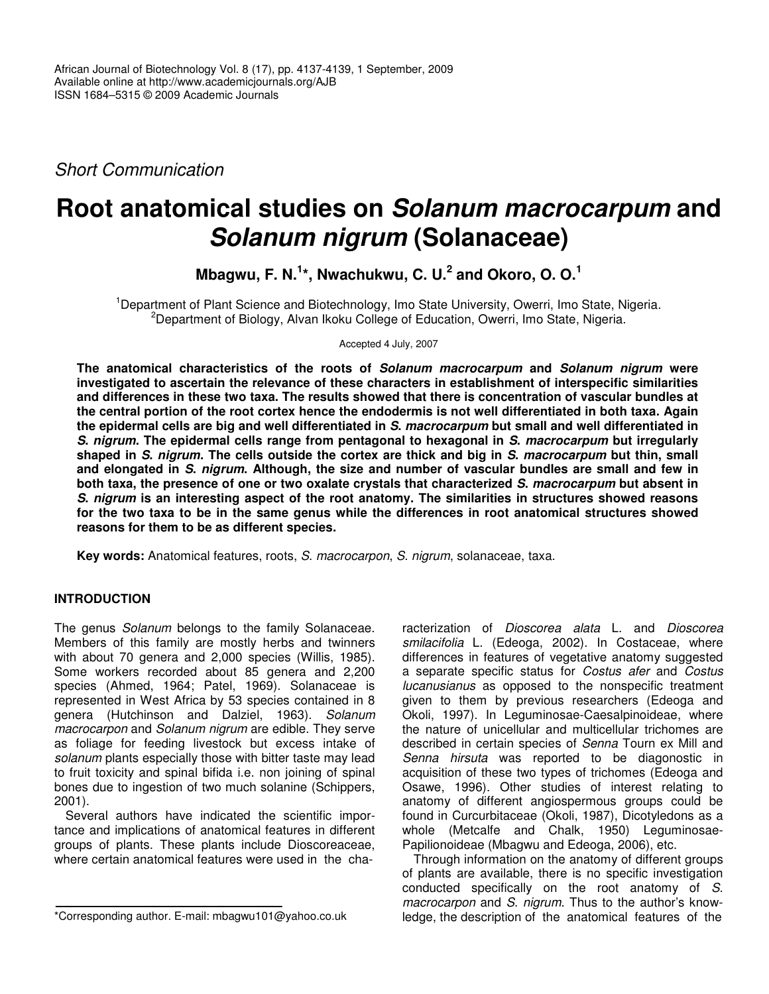*Short Communication*

# **Root anatomical studies on** *Solanum macrocarpum* **and** *Solanum nigrum* **(Solanaceae)**

**Mbagwu, F. N. 1 \*, Nwachukwu, C. U. 2 and Okoro, O. O. 1**

<sup>1</sup>Department of Plant Science and Biotechnology, Imo State University, Owerri, Imo State, Nigeria. <sup>2</sup>Department of Biology, Alvan Ikoku College of Education, Owerri, Imo State, Nigeria.

Accepted 4 July, 2007

**The anatomical characteristics of the roots of** *Solanum macrocarpum* **and** *Solanum nigrum* **were investigated to ascertain the relevance of these characters in establishment of interspecific similarities and differences in these two taxa. The results showed that there is concentration of vascular bundles at** the central portion of the root cortex hence the endodermis is not well differentiated in both taxa. Again the epidermal cells are big and well differentiated in S. macrocarpum but small and well differentiated in S. nigrum. The epidermal cells range from pentagonal to hexagonal in S. macrocarpum but irregularly shaped in S. nigrum. The cells outside the cortex are thick and big in S. macrocarpum but thin, small and elongated in S. nigrum. Although, the size and number of vascular bundles are small and few in both taxa, the presence of one or two oxalate crystals that characterized S. macrocarpum but absent in *S***.** *nigrum* **is an interesting aspect of the root anatomy. The similarities in structures showed reasons** for the two taxa to be in the same genus while the differences in root anatomical structures showed **reasons for them to be as different species.**

**Key words:** Anatomical features, roots, *S*. *macrocarpon*, *S*. *nigrum*, solanaceae, taxa.

# **INTRODUCTION**

The genus *Solanum* belongs to the family Solanaceae. Members of this family are mostly herbs and twinners with about 70 genera and 2,000 species (Willis, 1985). Some workers recorded about 85 genera and 2,200 species (Ahmed, 1964; Patel, 1969). Solanaceae is represented in West Africa by 53 species contained in 8 genera (Hutchinson and Dalziel, 1963). *Solanum macrocarpon* and *Solanum nigrum* are edible. They serve as foliage for feeding livestock but excess intake of *solanum* plants especially those with bitter taste may lead to fruit toxicity and spinal bifida i.e. non joining of spinal bones due to ingestion of two much solanine (Schippers, 2001).

Several authors have indicated the scientific importance and implications of anatomical features in different groups of plants. These plants include Dioscoreaceae, where certain anatomical features were used in the characterization of *Dioscorea alata* L. and *Dioscorea smilacifolia* L. (Edeoga, 2002). In Costaceae, where differences in features of vegetative anatomy suggested a separate specific status for *Costus afer* and *Costus lucanusianus* as opposed to the nonspecific treatment given to them by previous researchers (Edeoga and Okoli, 1997). In Leguminosae-Caesalpinoideae, where the nature of unicellular and multicellular trichomes are described in certain species of *Senna* Tourn ex Mill and *Senna hirsuta* was reported to be diagonostic in acquisition of these two types of trichomes (Edeoga and Osawe, 1996). Other studies of interest relating to anatomy of different angiospermous groups could be found in Curcurbitaceae (Okoli, 1987), Dicotyledons as a whole (Metcalfe and Chalk, 1950) Leguminosae-Papilionoideae (Mbagwu and Edeoga, 2006), etc.

Through information on the anatomy of different groups of plants are available, there is no specific investigation conducted specifically on the root anatomy of *S*. *macrocarpon* and *S*. *nigrum*. Thus to the author's knowledge, the description of the anatomical features of the

<sup>\*</sup>Corresponding author. E-mail: mbagwu101@yahoo.co.uk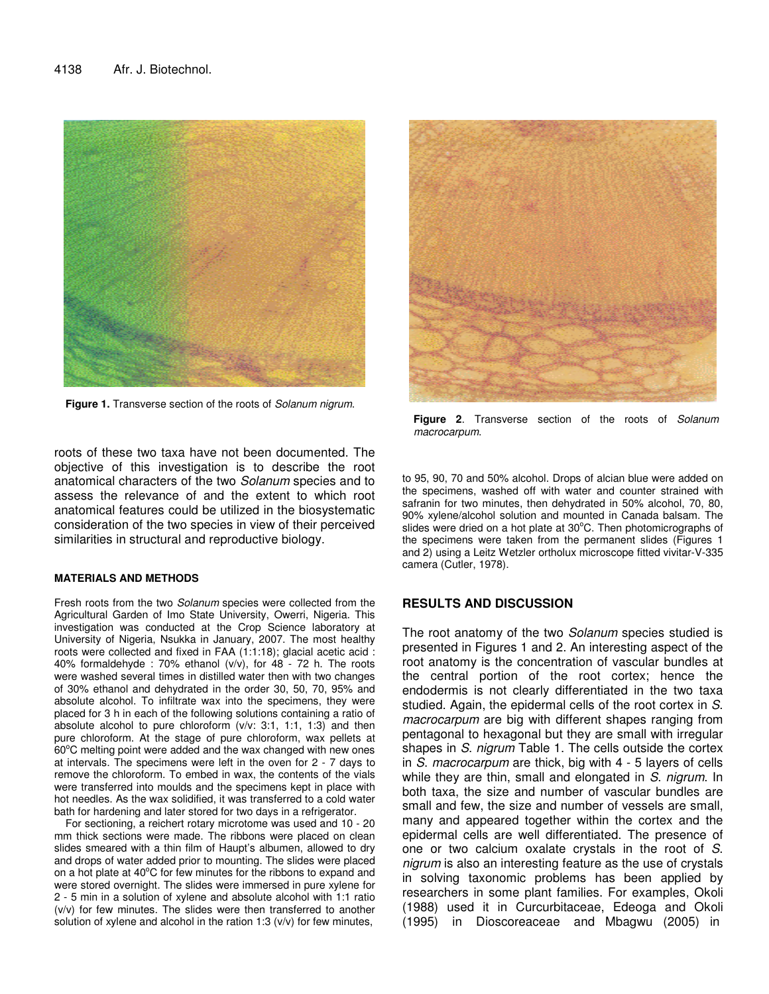

**Figure 1.** Transverse section of the roots of *Solanum nigrum*.

roots of these two taxa have not been documented. The objective of this investigation is to describe the root anatomical characters of the two *Solanum* species and to assess the relevance of and the extent to which root anatomical features could be utilized in the biosystematic consideration of the two species in view of their perceived similarities in structural and reproductive biology.

#### **MATERIALS AND METHODS**

Fresh roots from the two *Solanum* species were collected from the Agricultural Garden of Imo State University, Owerri, Nigeria. This investigation was conducted at the Crop Science laboratory at University of Nigeria, Nsukka in January, 2007. The most healthy roots were collected and fixed in FAA (1:1:18); glacial acetic acid : 40% formaldehyde : 70% ethanol (v/v), for 48 - 72 h. The roots were washed several times in distilled water then with two changes of 30% ethanol and dehydrated in the order 30, 50, 70, 95% and absolute alcohol. To infiltrate wax into the specimens, they were placed for 3 h in each of the following solutions containing a ratio of absolute alcohol to pure chloroform  $(v/v: 3:1, 1:1, 1:3)$  and then pure chloroform. At the stage of pure chloroform, wax pellets at 60°C melting point were added and the wax changed with new ones at intervals. The specimens were left in the oven for 2 - 7 days to remove the chloroform. To embed in wax, the contents of the vials were transferred into moulds and the specimens kept in place with hot needles. As the wax solidified, it was transferred to a cold water bath for hardening and later stored for two days in a refrigerator.

For sectioning, a reichert rotary microtome was used and 10 - 20 mm thick sections were made. The ribbons were placed on clean slides smeared with a thin film of Haupt's albumen, allowed to dry and drops of water added prior to mounting. The slides were placed on a hot plate at 40°C for few minutes for the ribbons to expand and were stored overnight. The slides were immersed in pure xylene for 2 - 5 min in a solution of xylene and absolute alcohol with 1:1 ratio (v/v) for few minutes. The slides were then transferred to another solution of xylene and alcohol in the ration 1:3  $(v/v)$  for few minutes,



**Figure 2**. Transverse section of the roots of *Solanum macrocarpum*.

to 95, 90, 70 and 50% alcohol. Drops of alcian blue were added on the specimens, washed off with water and counter strained with safranin for two minutes, then dehydrated in 50% alcohol, 70, 80, 90% xylene/alcohol solution and mounted in Canada balsam. The slides were dried on a hot plate at 30°C. Then photomicrographs of the specimens were taken from the permanent slides (Figures 1 and 2) using a Leitz Wetzler ortholux microscope fitted vivitar-V-335 camera (Cutler, 1978).

## **RESULTS AND DISCUSSION**

The root anatomy of the two *Solanum* species studied is presented in Figures 1 and 2. An interesting aspect of the root anatomy is the concentration of vascular bundles at the central portion of the root cortex; hence the endodermis is not clearly differentiated in the two taxa studied. Again, the epidermal cells of the root cortex in *S*. *macrocarpum* are big with different shapes ranging from pentagonal to hexagonal but they are small with irregular shapes in *S*. *nigrum* Table 1. The cells outside the cortex in *S*. *macrocarpum* are thick, big with 4 - 5 layers of cells while they are thin, small and elongated in *S*. *nigrum*. In both taxa, the size and number of vascular bundles are small and few, the size and number of vessels are small, many and appeared together within the cortex and the epidermal cells are well differentiated. The presence of one or two calcium oxalate crystals in the root of *S*. *nigrum* is also an interesting feature as the use of crystals in solving taxonomic problems has been applied by researchers in some plant families. For examples, Okoli (1988) used it in Curcurbitaceae, Edeoga and Okoli (1995) in Dioscoreaceae and Mbagwu (2005) in